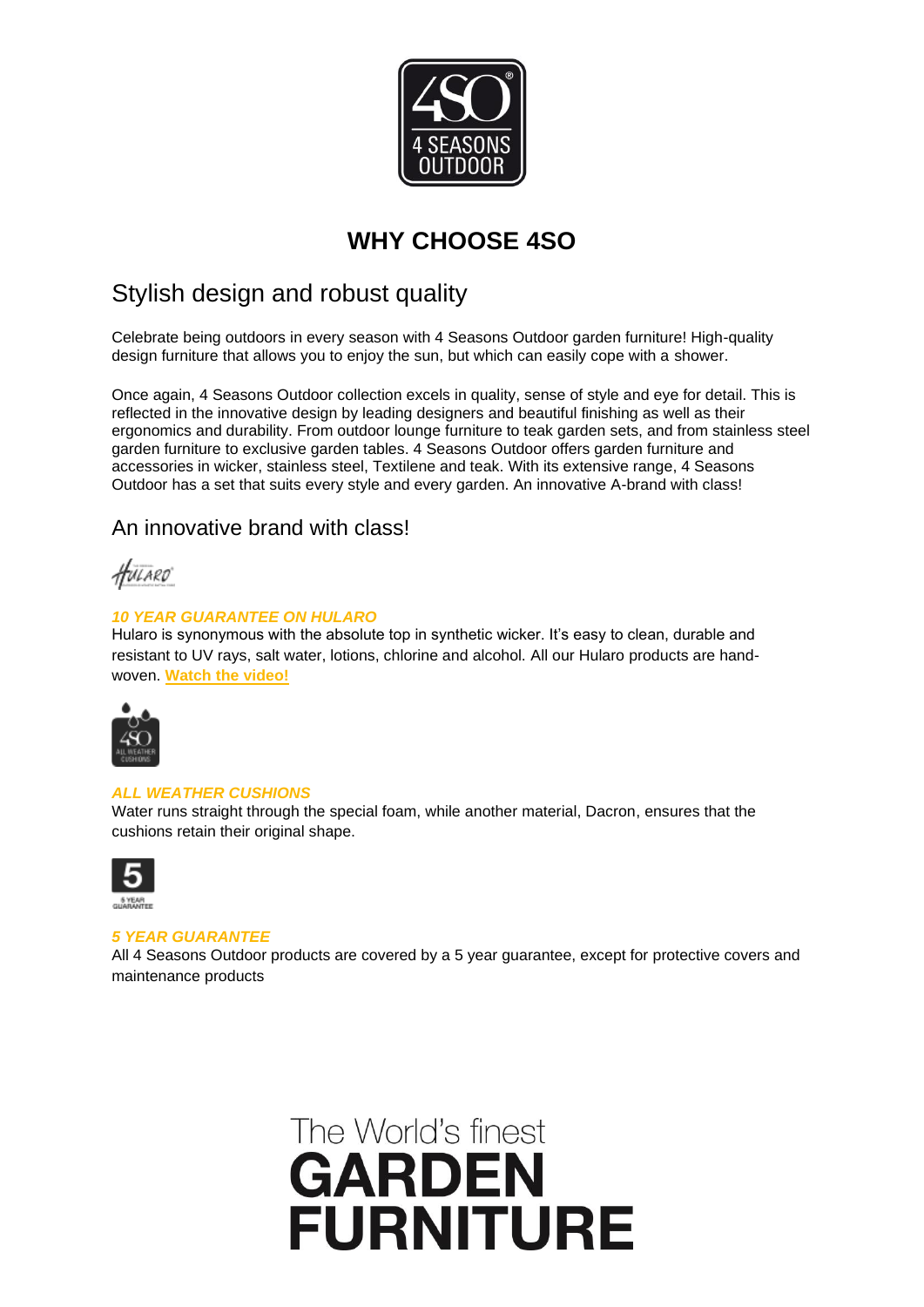

#### **WHY CHOOSE 4SO**

#### Stylish design and robust quality

Celebrate being outdoors in every season with 4 Seasons Outdoor garden furniture! High-quality design furniture that allows you to enjoy the sun, but which can easily cope with a shower.

Once again, 4 Seasons Outdoor collection excels in quality, sense of style and eye for detail. This is reflected in the innovative design by leading designers and beautiful finishing as well as their ergonomics and durability. From outdoor lounge furniture to teak garden sets, and from stainless steel garden furniture to exclusive garden tables. 4 Seasons Outdoor offers garden furniture and accessories in wicker, stainless steel, Textilene and teak. With its extensive range, 4 Seasons Outdoor has a set that suits every style and every garden. An innovative A-brand with class!

#### An innovative brand with class!

HULARO

#### *10 YEAR GUARANTEE ON HULARO*

Hularo is synonymous with the absolute top in synthetic wicker. It's easy to clean, durable and resistant to UV rays, salt water, lotions, chlorine and alcohol. All our Hularo products are handwoven. **[Watch the video!](https://www.4seasonsoutdoor.co.uk/)**



#### *ALL WEATHER CUSHIONS*

Water runs straight through the special foam, while another material, Dacron, ensures that the cushions retain their original shape.



#### *5 YEAR GUARANTEE*

All 4 Seasons Outdoor products are covered by a 5 year guarantee, except for protective covers and maintenance products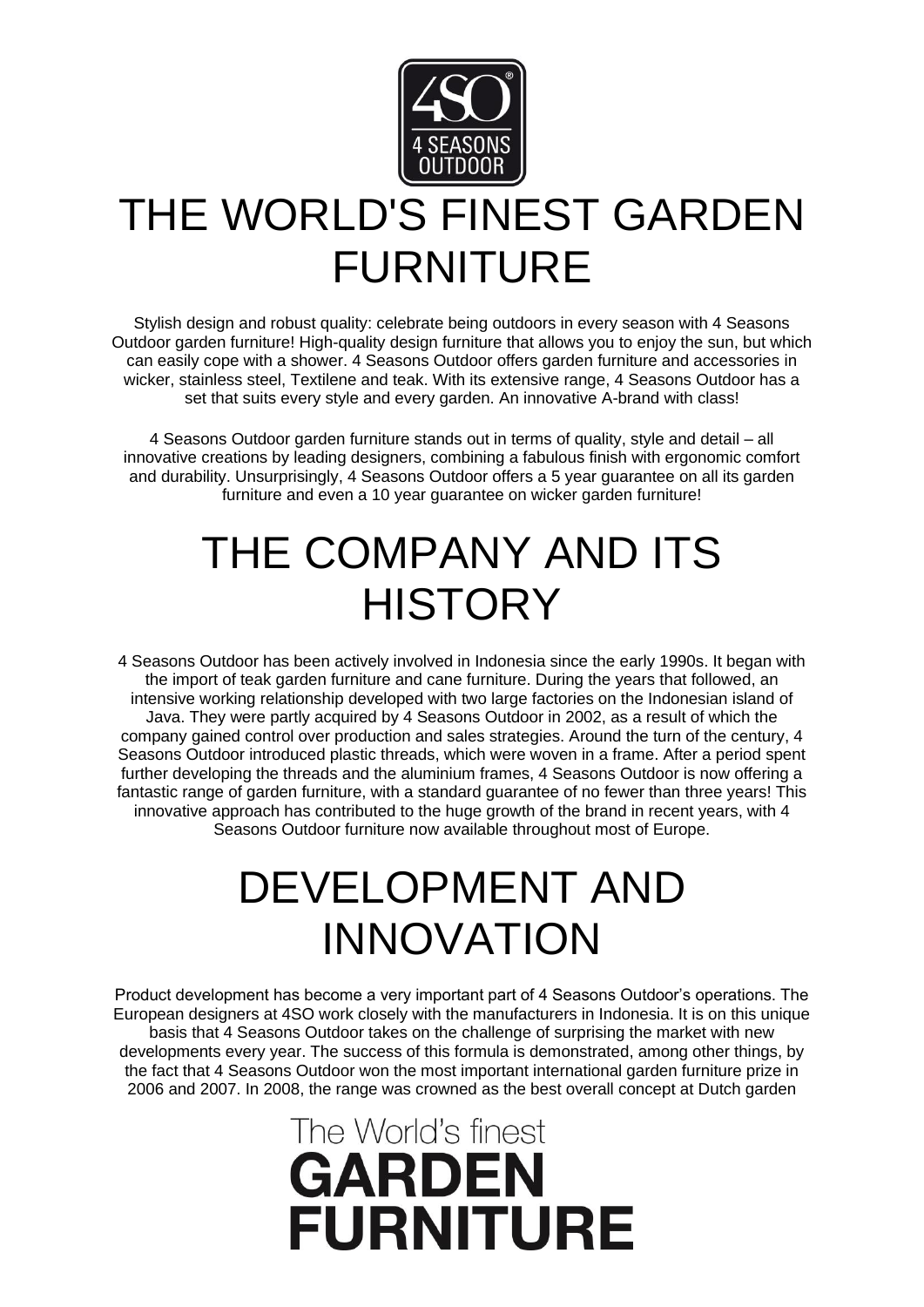

# THE WORLD'S FINEST GARDEN FURNITURE

Stylish design and robust quality: celebrate being outdoors in every season with 4 Seasons Outdoor garden furniture! High-quality design furniture that allows you to enjoy the sun, but which can easily cope with a shower. 4 Seasons Outdoor offers garden furniture and accessories in wicker, stainless steel, Textilene and teak. With its extensive range, 4 Seasons Outdoor has a set that suits every style and every garden. An innovative A-brand with class!

4 Seasons Outdoor garden furniture stands out in terms of quality, style and detail – all innovative creations by leading designers, combining a fabulous finish with ergonomic comfort and durability. Unsurprisingly, 4 Seasons Outdoor offers a 5 year guarantee on all its garden furniture and even a 10 year guarantee on wicker garden furniture!

## THE COMPANY AND ITS **HISTORY**

4 Seasons Outdoor has been actively involved in Indonesia since the early 1990s. It began with the import of teak garden furniture and cane furniture. During the years that followed, an intensive working relationship developed with two large factories on the Indonesian island of Java. They were partly acquired by 4 Seasons Outdoor in 2002, as a result of which the company gained control over production and sales strategies. Around the turn of the century, 4 Seasons Outdoor introduced plastic threads, which were woven in a frame. After a period spent further developing the threads and the aluminium frames, 4 Seasons Outdoor is now offering a fantastic range of garden furniture, with a standard guarantee of no fewer than three years! This innovative approach has contributed to the huge growth of the brand in recent years, with 4 Seasons Outdoor furniture now available throughout most of Europe.

#### DEVELOPMENT AND INNOVATION

Product development has become a very important part of 4 Seasons Outdoor's operations. The European designers at 4SO work closely with the manufacturers in Indonesia. It is on this unique basis that 4 Seasons Outdoor takes on the challenge of surprising the market with new developments every year. The success of this formula is demonstrated, among other things, by the fact that 4 Seasons Outdoor won the most important international garden furniture prize in 2006 and 2007. In 2008, the range was crowned as the best overall concept at Dutch garden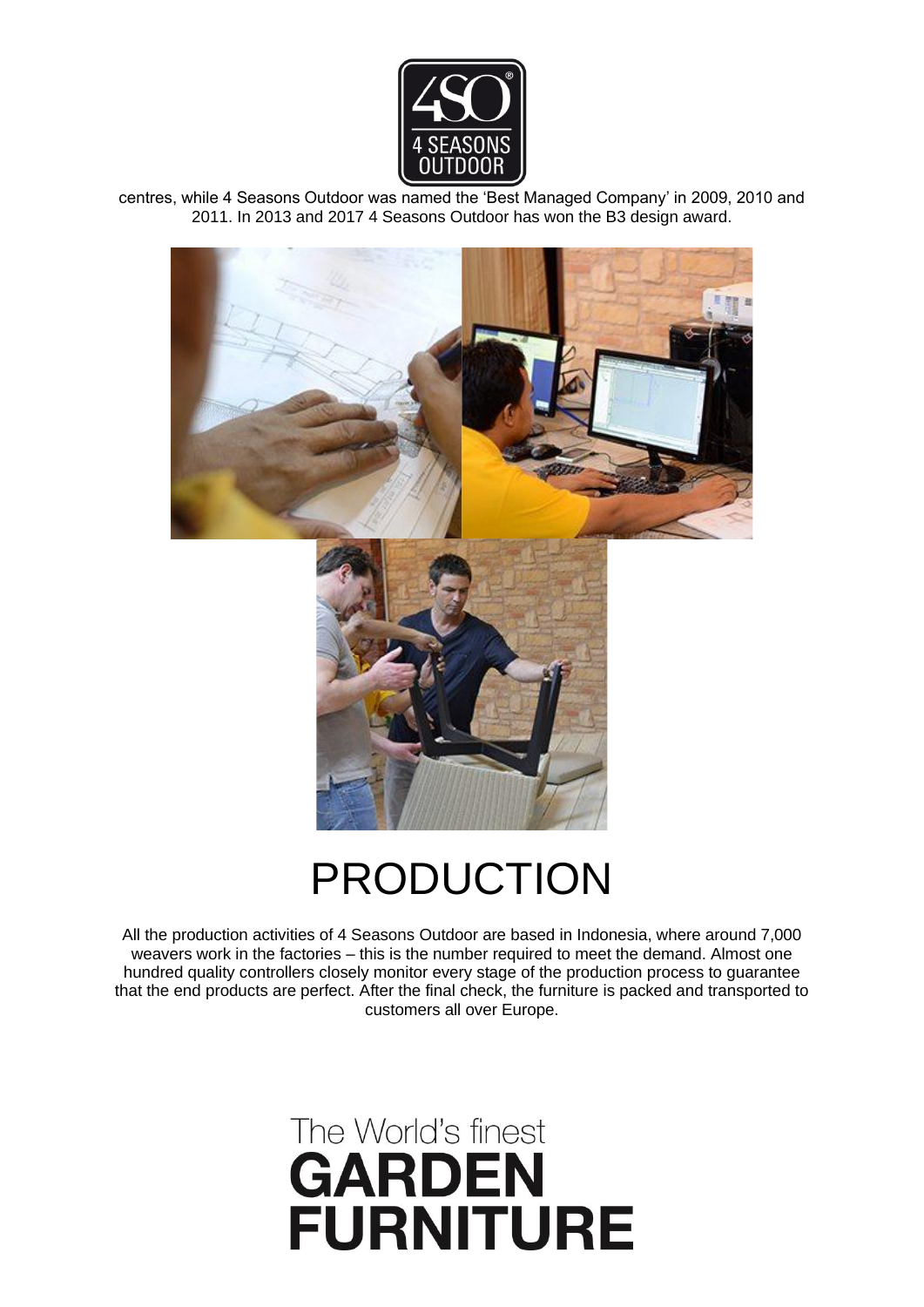

centres, while 4 Seasons Outdoor was named the 'Best Managed Company' in 2009, 2010 and 2011. In 2013 and 2017 4 Seasons Outdoor has won the B3 design award.



### PRODUCTION

All the production activities of 4 Seasons Outdoor are based in Indonesia, where around 7,000 weavers work in the factories – this is the number required to meet the demand. Almost one hundred quality controllers closely monitor every stage of the production process to guarantee that the end products are perfect. After the final check, the furniture is packed and transported to customers all over Europe.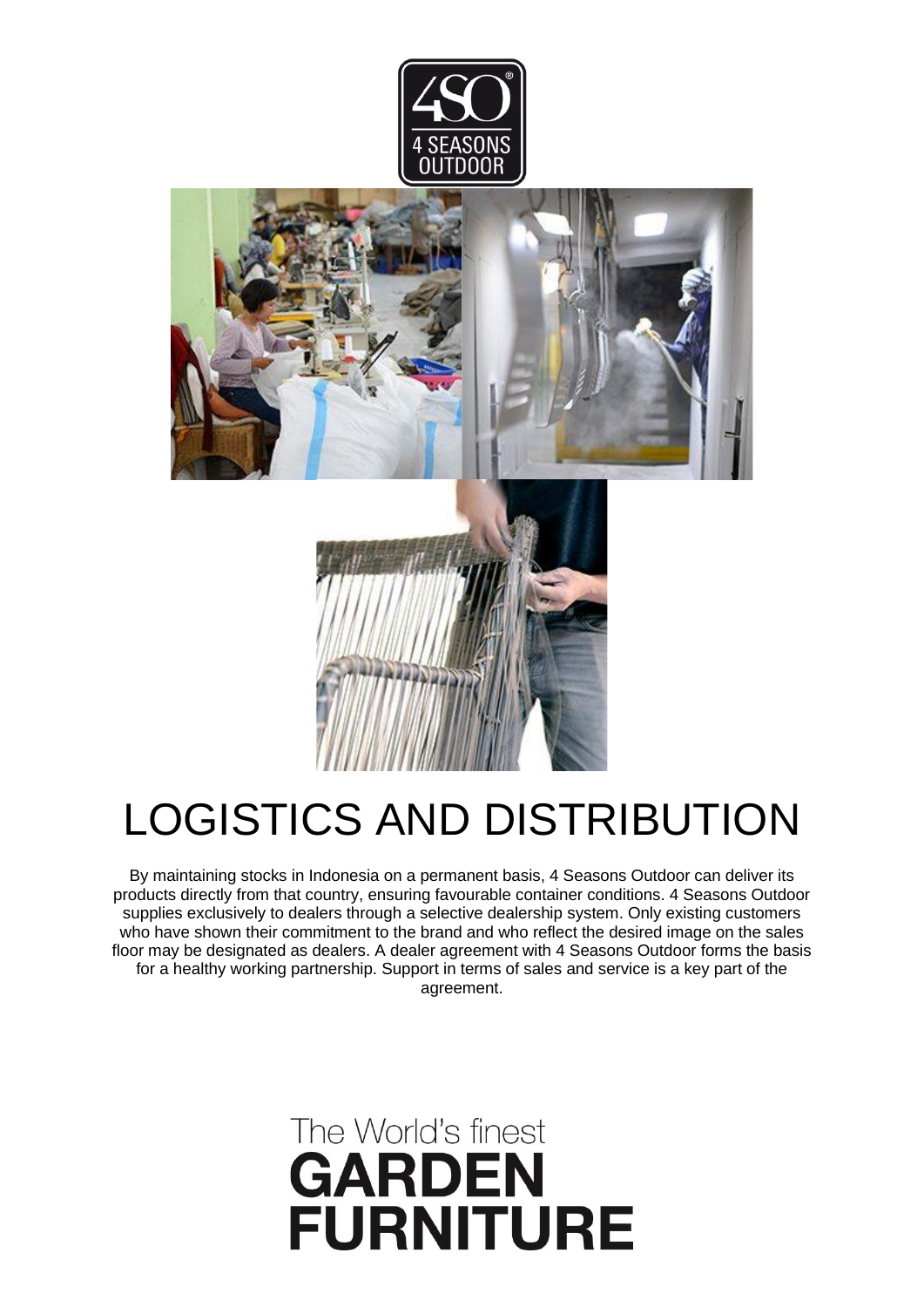



# LOGISTICS AND DISTRIBUTION

By maintaining stocks in Indonesia on a permanent basis, 4 Seasons Outdoor can deliver its products directly from that country, ensuring favourable container conditions. 4 Seasons Outdoor supplies exclusively to dealers through a selective dealership system. Only existing customers who have shown their commitment to the brand and who reflect the desired image on the sales floor may be designated as dealers. A dealer agreement with 4 Seasons Outdoor forms the basis for a healthy working partnership. Support in terms of sales and service is a key part of the agreement.